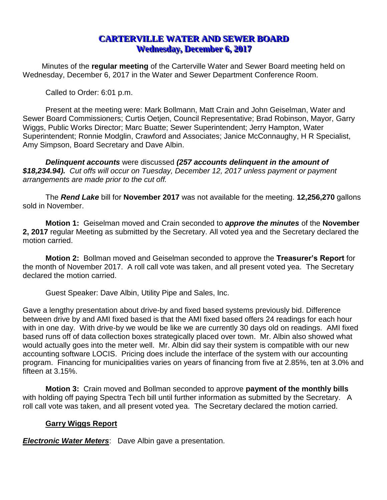# **CARTERVILLE WATER AND SEWER BOARD Wednesday, December 6, 2017**

Minutes of the **regular meeting** of the Carterville Water and Sewer Board meeting held on Wednesday, December 6, 2017 in the Water and Sewer Department Conference Room.

Called to Order: 6:01 p.m.

Present at the meeting were: Mark Bollmann, Matt Crain and John Geiselman, Water and Sewer Board Commissioners; Curtis Oetjen, Council Representative; Brad Robinson, Mayor, Garry Wiggs, Public Works Director; Marc Buatte; Sewer Superintendent; Jerry Hampton, Water Superintendent; Ronnie Modglin, Crawford and Associates; Janice McConnaughy, H R Specialist, Amy Simpson, Board Secretary and Dave Albin.

*Delinquent accounts* were discussed *(257 accounts delinquent in the amount of \$18,234.94). Cut offs will occur on Tuesday, December 12, 2017 unless payment or payment arrangements are made prior to the cut off.*

The *Rend Lake* bill for **November 2017** was not available for the meeting. **12,256,270** gallons sold in November.

**Motion 1:** Geiselman moved and Crain seconded to *approve the minutes* of the **November 2, 2017** regular Meeting as submitted by the Secretary. All voted yea and the Secretary declared the motion carried.

**Motion 2:** Bollman moved and Geiselman seconded to approve the **Treasurer's Report** for the month of November 2017. A roll call vote was taken, and all present voted yea. The Secretary declared the motion carried.

Guest Speaker: Dave Albin, Utility Pipe and Sales, Inc.

Gave a lengthy presentation about drive-by and fixed based systems previously bid. Difference between drive by and AMI fixed based is that the AMI fixed based offers 24 readings for each hour with in one day. With drive-by we would be like we are currently 30 days old on readings. AMI fixed based runs off of data collection boxes strategically placed over town. Mr. Albin also showed what would actually goes into the meter well. Mr. Albin did say their system is compatible with our new accounting software LOCIS. Pricing does include the interface of the system with our accounting program. Financing for municipalities varies on years of financing from five at 2.85%, ten at 3.0% and fifteen at 3.15%.

**Motion 3:** Crain moved and Bollman seconded to approve **payment of the monthly bills** with holding off paying Spectra Tech bill until further information as submitted by the Secretary. A roll call vote was taken, and all present voted yea. The Secretary declared the motion carried.

# **Garry Wiggs Report**

*Electronic Water Meters*: Dave Albin gave a presentation.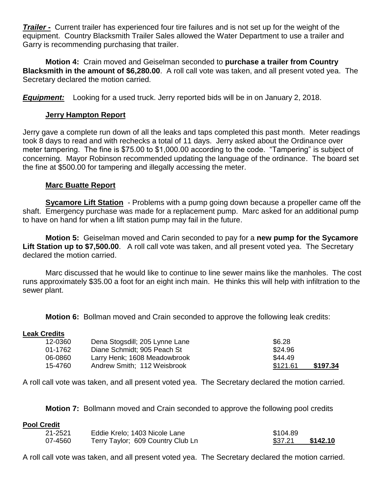*Trailer -* Current trailer has experienced four tire failures and is not set up for the weight of the equipment. Country Blacksmith Trailer Sales allowed the Water Department to use a trailer and Garry is recommending purchasing that trailer.

**Motion 4:** Crain moved and Geiselman seconded to **purchase a trailer from Country Blacksmith in the amount of \$6,280.00**. A roll call vote was taken, and all present voted yea. The Secretary declared the motion carried*.*

*Equipment:* Looking for a used truck. Jerry reported bids will be in on January 2, 2018.

# **Jerry Hampton Report**

Jerry gave a complete run down of all the leaks and taps completed this past month. Meter readings took 8 days to read and with rechecks a total of 11 days. Jerry asked about the Ordinance over meter tampering. The fine is \$75.00 to \$1,000.00 according to the code. "Tampering" is subject of concerning. Mayor Robinson recommended updating the language of the ordinance. The board set the fine at \$500.00 for tampering and illegally accessing the meter.

# **Marc Buatte Report**

**Sycamore Lift Station** - Problems with a pump going down because a propeller came off the shaft. Emergency purchase was made for a replacement pump. Marc asked for an additional pump to have on hand for when a lift station pump may fail in the future.

**Motion 5:** Geiselman moved and Carin seconded to pay for a **new pump for the Sycamore Lift Station up to \$7,500.00**. A roll call vote was taken, and all present voted yea. The Secretary declared the motion carried.

Marc discussed that he would like to continue to line sewer mains like the manholes. The cost runs approximately \$35.00 a foot for an eight inch main. He thinks this will help with infiltration to the sewer plant.

**Motion 6:** Bollman moved and Crain seconded to approve the following leak credits:

## **Leak Credits**

| 12-0360 | Dena Stogsdill; 205 Lynne Lane | \$6.28               |
|---------|--------------------------------|----------------------|
| 01-1762 | Diane Schmidt; 905 Peach St    | \$24.96              |
| 06-0860 | Larry Henk; 1608 Meadowbrook   | \$44.49              |
| 15-4760 | Andrew Smith; 112 Weisbrook    | \$121.61<br>\$197.34 |

A roll call vote was taken, and all present voted yea. The Secretary declared the motion carried*.*

**Motion 7:** Bollmann moved and Crain seconded to approve the following pool credits

#### **Pool Credit**

| 21-2521 | Eddie Krelo; 1403 Nicole Lane     | \$104.89 |          |
|---------|-----------------------------------|----------|----------|
| 07-4560 | Terry Taylor; 609 Country Club Ln | \$37.21  | \$142.10 |

A roll call vote was taken, and all present voted yea. The Secretary declared the motion carried.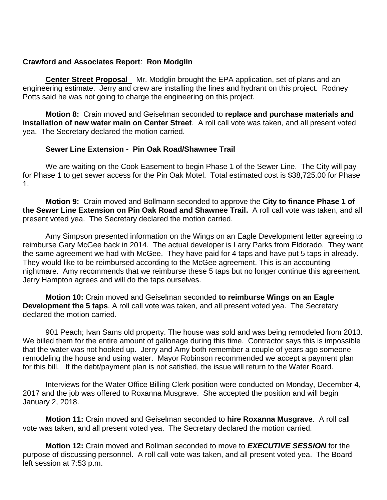## **Crawford and Associates Report**: **Ron Modglin**

**Center Street Proposal** Mr. Modglin brought the EPA application, set of plans and an engineering estimate. Jerry and crew are installing the lines and hydrant on this project. Rodney Potts said he was not going to charge the engineering on this project.

**Motion 8:** Crain moved and Geiselman seconded to **replace and purchase materials and installation of new water main on Center Street**. A roll call vote was taken, and all present voted yea. The Secretary declared the motion carried.

### **Sewer Line Extension - Pin Oak Road/Shawnee Trail**

We are waiting on the Cook Easement to begin Phase 1 of the Sewer Line. The City will pay for Phase 1 to get sewer access for the Pin Oak Motel. Total estimated cost is \$38,725.00 for Phase 1.

**Motion 9:** Crain moved and Bollmann seconded to approve the **City to finance Phase 1 of the Sewer Line Extension on Pin Oak Road and Shawnee Trail.** A roll call vote was taken, and all present voted yea. The Secretary declared the motion carried.

Amy Simpson presented information on the Wings on an Eagle Development letter agreeing to reimburse Gary McGee back in 2014. The actual developer is Larry Parks from Eldorado. They want the same agreement we had with McGee. They have paid for 4 taps and have put 5 taps in already. They would like to be reimbursed according to the McGee agreement. This is an accounting nightmare. Amy recommends that we reimburse these 5 taps but no longer continue this agreement. Jerry Hampton agrees and will do the taps ourselves.

**Motion 10:** Crain moved and Geiselman seconded **to reimburse Wings on an Eagle Development the 5 taps**. A roll call vote was taken, and all present voted yea. The Secretary declared the motion carried.

901 Peach; Ivan Sams old property. The house was sold and was being remodeled from 2013. We billed them for the entire amount of gallonage during this time. Contractor says this is impossible that the water was not hooked up. Jerry and Amy both remember a couple of years ago someone remodeling the house and using water. Mayor Robinson recommended we accept a payment plan for this bill. If the debt/payment plan is not satisfied, the issue will return to the Water Board.

Interviews for the Water Office Billing Clerk position were conducted on Monday, December 4, 2017 and the job was offered to Roxanna Musgrave. She accepted the position and will begin January 2, 2018.

**Motion 11:** Crain moved and Geiselman seconded to **hire Roxanna Musgrave**. A roll call vote was taken, and all present voted yea. The Secretary declared the motion carried*.*

**Motion 12:** Crain moved and Bollman seconded to move to *EXECUTIVE SESSION* for the purpose of discussing personnel. A roll call vote was taken, and all present voted yea. The Board left session at 7:53 p.m.